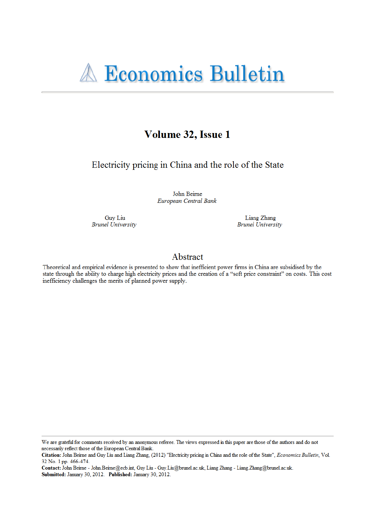

# Volume 32, Issue 1

Electricity pricing in China and the role of the State

John Beirne European Central Bank

Guy Liu **Brunel University** 

Liang Zhang **Brunel** University

# Abstract

Theoretical and empirical evidence is presented to show that inefficient power firms in China are subsidised by the state through the ability to charge high electricity prices and the creation of a "soft price constraint" on costs. This cost inefficiency challenges the merits of planned power supply.

We are grateful for comments received by an anonymous referee. The views expressed in this paper are those of the authors and do not necessarily reflect those of the European Central Bank.

Citation: John Beirne and Guy Liu and Liang Zhang, (2012) "Electricity pricing in China and the role of the State", Economics Bulletin, Vol. 32 No. 1 pp. 466-474.

Contact: John Beirne - John Beirne@ecb.int, Guy Liu - Guy Liu@brunel.ac.uk, Liang Zhang - Liang.Zhang@brunel.ac.uk. Submitted: January 30, 2012. Published: January 30, 2012.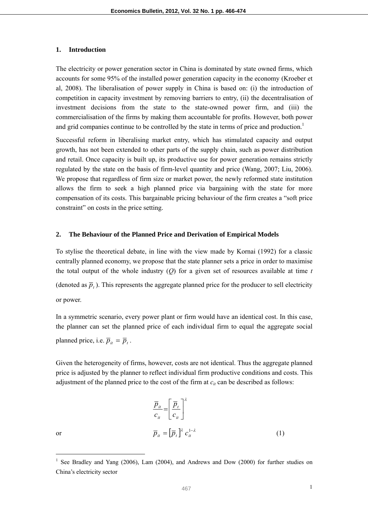#### **1. Introduction**

The electricity or power generation sector in China is dominated by state owned firms, which accounts for some 95% of the installed power generation capacity in the economy (Kroeber et al, 2008). The liberalisation of power supply in China is based on: (i) the introduction of competition in capacity investment by removing barriers to entry, (ii) the decentralisation of investment decisions from the state to the state-owned power firm, and (iii) the commercialisation of the firms by making them accountable for profits. However, both power and grid companies continue to be controlled by the state in terms of price and production.<sup>1</sup>

Successful reform in liberalising market entry, which has stimulated capacity and output growth, has not been extended to other parts of the supply chain, such as power distribution and retail. Once capacity is built up, its productive use for power generation remains strictly regulated by the state on the basis of firm-level quantity and price (Wang, 2007; Liu, 2006). We propose that regardless of firm size or market power, the newly reformed state institution allows the firm to seek a high planned price via bargaining with the state for more compensation of its costs. This bargainable pricing behaviour of the firm creates a "soft price constraint" on costs in the price setting.

#### **2. The Behaviour of the Planned Price and Derivation of Empirical Models**

To stylise the theoretical debate, in line with the view made by Kornai (1992) for a classic centrally planned economy, we propose that the state planner sets a price in order to maximise the total output of the whole industry  $(Q)$  for a given set of resources available at time *t* (denoted as  $\bar{p}_t$ ). This represents the aggregate planned price for the producer to sell electricity or power.

In a symmetric scenario, every power plant or firm would have an identical cost. In this case, the planner can set the planned price of each individual firm to equal the aggregate social planned price, i.e.  $\overline{p}_{it} = \overline{p}_{t}$ .

Given the heterogeneity of firms, however, costs are not identical. Thus the aggregate planned price is adjusted by the planner to reflect individual firm productive conditions and costs. This adjustment of the planned price to the cost of the firm at  $c_{it}$  can be described as follows:

$$
\frac{\overline{p}_{it}}{c_{it}} = \left[\frac{\overline{p}_{t}}{c_{it}}\right]^{\lambda}
$$
\nor

\n
$$
\overline{p}_{it} = \left[\overline{p}_{t}\right]^{\lambda} c_{it}^{1-\lambda}
$$
\n(1)

<sup>&</sup>lt;sup>1</sup> See Bradley and Yang (2006), Lam (2004), and Andrews and Dow (2000) for further studies on China's electricity sector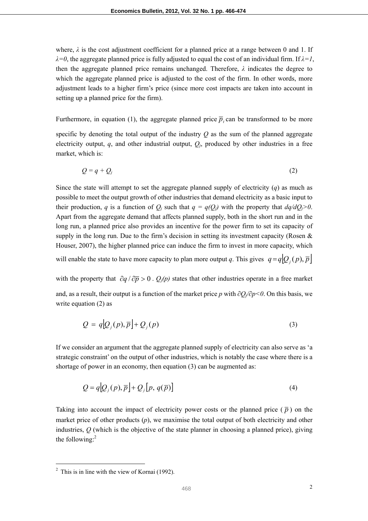where,  $\lambda$  is the cost adjustment coefficient for a planned price at a range between 0 and 1. If *λ=0*, the aggregate planned price is fully adjusted to equal the cost of an individual firm. If *λ=1*, then the aggregate planned price remains unchanged. Therefore, *λ* indicates the degree to which the aggregate planned price is adjusted to the cost of the firm. In other words, more adjustment leads to a higher firm's price (since more cost impacts are taken into account in setting up a planned price for the firm).

Furthermore, in equation (1), the aggregate planned price  $\overline{p}_t$  can be transformed to be more

specific by denoting the total output of the industry *Q* as the sum of the planned aggregate electricity output,  $q$ , and other industrial output,  $Q_i$ , produced by other industries in a free market, which is:

$$
Q = q + Q_j \tag{2}
$$

Since the state will attempt to set the aggregate planned supply of electricity (*q*) as much as possible to meet the output growth of other industries that demand electricity as a basic input to their production, *q* is a function of  $Q_i$  such that  $q = q(Q_i)$  with the property that  $dq/dQ_i > 0$ . Apart from the aggregate demand that affects planned supply, both in the short run and in the long run, a planned price also provides an incentive for the power firm to set its capacity of supply in the long run. Due to the firm's decision in setting its investment capacity (Rosen  $\&$ Houser, 2007), the higher planned price can induce the firm to invest in more capacity, which will enable the state to have more capacity to plan more output *q*. This gives  $q = q \left[Q_i(p), \overline{p}\right]$ 

with the property that  $\partial q / \partial \overline{p} > 0$ .  $Q_i(p)$  states that other industries operate in a free market and, as a result, their output is a function of the market price *p* with *∂Qj/∂p<0*. On this basis, we write equation (2) as

$$
Q = q[Q_j(p), \overline{p}] + Q_j(p) \tag{3}
$$

If we consider an argument that the aggregate planned supply of electricity can also serve as 'a strategic constraint' on the output of other industries, which is notably the case where there is a shortage of power in an economy, then equation (3) can be augmented as:

$$
Q = q[Q_j(p), \overline{p}] + Q_j[p, q(\overline{p})]
$$
\n(4)

Taking into account the impact of electricity power costs or the planned price  $(\bar{p})$  on the market price of other products (*p*), we maximise the total output of both electricity and other industries, *Q* (which is the objective of the state planner in choosing a planned price), giving the following: $<sup>2</sup>$ </sup>

 $2$  This is in line with the view of Kornai (1992).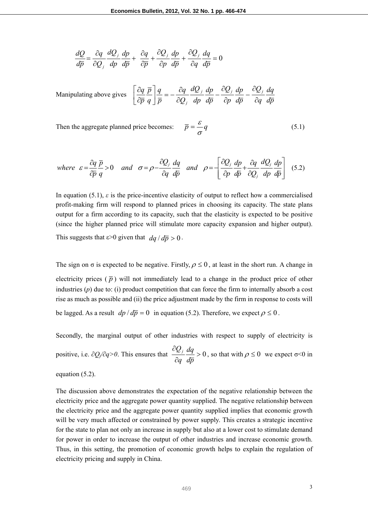$$
\frac{dQ}{d\overline{p}} = \frac{\partial q}{\partial Q_j} \frac{dQ_j}{dp} \frac{dp}{d\overline{p}} + \frac{\partial q}{\partial \overline{p}} + \frac{\partial Q_j}{\partial p} \frac{dp}{d\overline{p}} + \frac{\partial Q_j}{\partial q} \frac{dq}{d\overline{p}} = 0
$$

Manipulating above gives 
$$
\left[\frac{\partial q}{\partial \overline{p}} \frac{\overline{p}}{q}\right] \frac{q}{\overline{p}} = -\frac{\partial q}{\partial Q_j} \frac{dQ_j}{dp} \frac{dp}{dp} - \frac{\partial Q_j}{\partial p} \frac{dp}{d\overline{p}} - \frac{\partial Q_j}{\partial q} \frac{dq}{dp}
$$

Then the aggregate planned price becomes:  $\bar{p} = \frac{\varepsilon}{\sigma}q$  (5.1)

where 
$$
\varepsilon = \frac{\partial q}{\partial \overline{p}} \frac{\overline{p}}{q} > 0
$$
 and  $\sigma = \rho - \frac{\partial Q_j}{\partial q} \frac{dq}{d\overline{p}}$  and  $\rho = -\left[ \frac{\partial Q_j}{\partial p} \frac{dp}{d\overline{p}} + \frac{\partial q}{\partial Q_j} \frac{dQ_j}{dp} \frac{dp}{d\overline{p}} \right]$  (5.2)

In equation (5.1),  $\varepsilon$  is the price-incentive elasticity of output to reflect how a commercialised profit-making firm will respond to planned prices in choosing its capacity. The state plans output for a firm according to its capacity, such that the elasticity is expected to be positive (since the higher planned price will stimulate more capacity expansion and higher output). This suggests that  $\varepsilon > 0$  given that  $dq / d\overline{p} > 0$ .

The sign on  $\sigma$  is expected to be negative. Firstly,  $\rho \le 0$ , at least in the short run. A change in electricity prices  $(\bar{p})$  will not immediately lead to a change in the product price of other industries (*p*) due to: (i) product competition that can force the firm to internally absorb a cost rise as much as possible and (ii) the price adjustment made by the firm in response to costs will be lagged. As a result  $dp/d\overline{p} = 0$  in equation (5.2). Therefore, we expect  $\rho \le 0$ .

Secondly, the marginal output of other industries with respect to supply of electricity is positive, i.e.  $\partial Q_i/\partial q>0$ . This ensures that  $\frac{Z_i}{R_i}$   $\frac{dq}{dt}>0$  $\hat{o}$  $\hat{o}$ *dp dq q*  $\frac{Q_j}{Q_i} \frac{dq}{dt} > 0$ , so that with  $\rho \le 0$  we expect  $\sigma \le 0$  in equation (5.2).

The discussion above demonstrates the expectation of the negative relationship between the electricity price and the aggregate power quantity supplied. The negative relationship between the electricity price and the aggregate power quantity supplied implies that economic growth will be very much affected or constrained by power supply. This creates a strategic incentive for the state to plan not only an increase in supply but also at a lower cost to stimulate demand for power in order to increase the output of other industries and increase economic growth. Thus, in this setting, the promotion of economic growth helps to explain the regulation of electricity pricing and supply in China.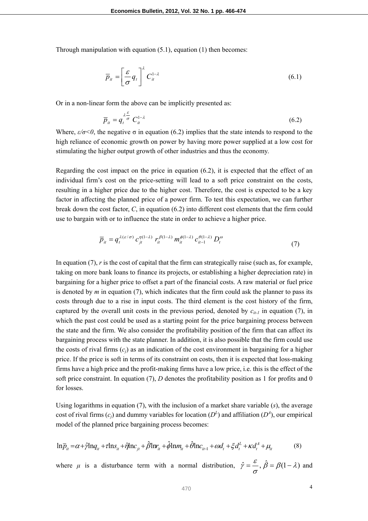Through manipulation with equation (5.1), equation (1) then becomes:

$$
\overline{p}_{it} = \left[\frac{\varepsilon}{\sigma} q_t\right]^{\lambda} C_{it}^{1-\lambda} \tag{6.1}
$$

Or in a non-linear form the above can be implicitly presented as:

$$
\overline{p}_{it} = q_t^{\lambda \frac{\varepsilon}{\sigma}} C_{it}^{1-\lambda} \tag{6.2}
$$

Where,  $\varepsilon/\sigma < 0$ , the negative  $\sigma$  in equation (6.2) implies that the state intends to respond to the high reliance of economic growth on power by having more power supplied at a low cost for stimulating the higher output growth of other industries and thus the economy.

Regarding the cost impact on the price in equation  $(6.2)$ , it is expected that the effect of an individual firm's cost on the price-setting will lead to a soft price constraint on the costs, resulting in a higher price due to the higher cost. Therefore, the cost is expected to be a key factor in affecting the planned price of a power firm. To test this expectation, we can further break down the cost factor, *C*, in equation (6.2) into different cost elements that the firm could use to bargain with or to influence the state in order to achieve a higher price.

$$
\overline{p}_{it} = q_t^{\lambda(\varepsilon/\sigma)} c_{it}^{\eta(1-\lambda)} r_{it}^{\beta(1-\lambda)} m_{it}^{\phi(1-\lambda)} c_{it-1}^{\theta(1-\lambda)} D_t^{\omega}
$$
\n
$$
\tag{7}
$$

In equation (7), *r* is the cost of capital that the firm can strategically raise (such as, for example, taking on more bank loans to finance its projects, or establishing a higher depreciation rate) in bargaining for a higher price to offset a part of the financial costs. A raw material or fuel price is denoted by  $m$  in equation (7), which indicates that the firm could ask the planner to pass its costs through due to a rise in input costs. The third element is the cost history of the firm, captured by the overall unit costs in the previous period, denoted by  $c_{it-1}$  in equation (7), in which the past cost could be used as a starting point for the price bargaining process between the state and the firm. We also consider the profitability position of the firm that can affect its bargaining process with the state planner. In addition, it is also possible that the firm could use the costs of rival firms  $(c_i)$  as an indication of the cost environment in bargaining for a higher price. If the price is soft in terms of its constraint on costs, then it is expected that loss-making firms have a high price and the profit-making firms have a low price, i.e. this is the effect of the soft price constraint. In equation (7), *D* denotes the profitability position as 1 for profits and 0 for losses.

Using logarithms in equation (7), with the inclusion of a market share variable (*s*), the average cost of rival firms  $(c_j)$  and dummy variables for location  $(D^L)$  and affiliation  $(D^A)$ , our empirical model of the planned price bargaining process becomes:

$$
\ln \overline{p}_{it} = \alpha + \hat{\gamma} \ln q_{it} + \tau \ln s_{it} + \hat{\eta} \ln c_{jt} + \hat{\beta} \ln r_{it} + \hat{\phi} \ln m_{it} + \hat{\theta} \ln c_{it-1} + \omega d_t + \xi d_t^L + \kappa d_t^A + \mu_t
$$
 (8)

where *μ* is a disturbance term with a normal distribution,  $\hat{\gamma} = \frac{\varepsilon}{\sigma}, \hat{\beta} = \beta(1 - \lambda)$  $\hat{\gamma} = \frac{\varepsilon}{\gamma}, \hat{\beta} = \beta(1 - \lambda)$  and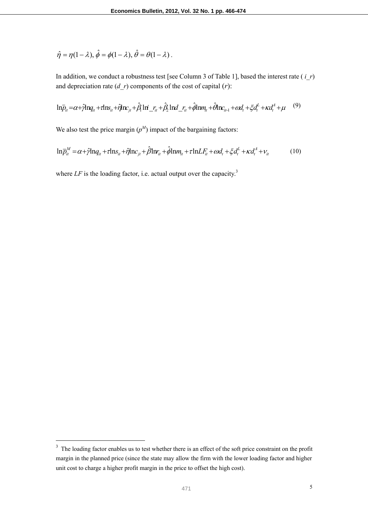$$
\hat{\eta} = \eta(1 - \lambda), \hat{\phi} = \phi(1 - \lambda), \hat{\theta} = \theta(1 - \lambda).
$$

In addition, we conduct a robustness test [see Column 3 of Table 1], based the interest rate ( *i\_r*) and depreciation rate  $(d\ r)$  components of the cost of capital  $(r)$ :

$$
\ln \bar{p}_{it} = \alpha + \hat{\gamma} \ln q_{it} + \tau \ln s_{it} + \hat{\eta} \ln c_{jt} + \hat{\beta} \ln r_{it} + \hat{\beta} \ln d_{it} r_{it} + \hat{\phi} \ln m_{it} + \hat{\theta} \ln c_{it} + \alpha d_t + \xi d_t^{\mu} + \kappa d_t^{\mu} + \mu
$$
 (9)

We also test the price margin  $(p^M)$  impact of the bargaining factors:

$$
\ln \overline{p}_{it}^M = \alpha + \hat{\gamma} \ln q_{it} + \tau \ln s_{it} + \hat{\eta} \ln c_{it} + \hat{\beta} \ln r_{it} + \hat{\phi} \ln m_{it} + \tau \ln L F_{it} + \omega d_t + \xi d_t^L + \kappa d_t^A + v_{it}
$$
(10)

where  $LF$  is the loading factor, i.e. actual output over the capacity.<sup>3</sup>

 $3<sup>3</sup>$  The loading factor enables us to test whether there is an effect of the soft price constraint on the profit margin in the planned price (since the state may allow the firm with the lower loading factor and higher unit cost to charge a higher profit margin in the price to offset the high cost).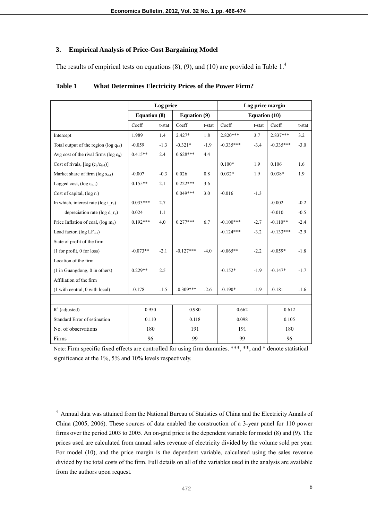## **3. Empirical Analysis of Price-Cost Bargaining Model**

The results of empirical tests on equations  $(8)$ ,  $(9)$ , and  $(10)$  are provided in Table  $1<sup>4</sup>$ .

|                                                     | Log price           |        |              |        | Log price margin     |        |             |        |
|-----------------------------------------------------|---------------------|--------|--------------|--------|----------------------|--------|-------------|--------|
|                                                     | <b>Equation (8)</b> |        | Equation (9) |        | <b>Equation (10)</b> |        |             |        |
|                                                     | Coeff               | t-stat | Coeff        | t-stat | Coeff                | t-stat | Coeff       | t-stat |
| Intercept                                           | 1.989               | 1.4    | $2.427*$     | 1.8    | $2.820***$           | 3.7    | $2.837***$  | 3.2    |
| Total output of the region ( $log q_{t-1}$ )        | $-0.059$            | $-1.3$ | $-0.321*$    | $-1.9$ | $-0.335***$          | $-3.4$ | $-0.335***$ | $-3.0$ |
| Avg cost of the rival firms ( $log c_{it}$ )        | $0.415**$           | 2.4    | $0.628***$   | 4.4    |                      |        |             |        |
| Cost of rivals, $[\log (c_{it}/c_{it-1})]$          |                     |        |              |        | $0.100*$             | 1.9    | 0.106       | 1.6    |
| Market share of firm (log S <sub>it-1</sub> )       | $-0.007$            | $-0.3$ | 0.026        | 0.8    | $0.032*$             | 1.9    | $0.038*$    | 1.9    |
| Lagged cost, (log c <sub>it-1</sub> )               | $0.155**$           | 2.1    | $0.222***$   | 3.6    |                      |        |             |        |
| Cost of capital, ( $log r_{it}$ )                   |                     |        | $0.049***$   | 3.0    | $-0.016$             | $-1.3$ |             |        |
| In which, interest rate ( $log i$ r <sub>it</sub> ) | $0.033***$          | 2.7    |              |        |                      |        | $-0.002$    | $-0.2$ |
| depreciation rate ( $log d r_{it}$ )                | 0.024               | 1.1    |              |        |                      |        | $-0.010$    | $-0.5$ |
| Price Inflation of coal, ( $log m_{it}$ )           | $0.192***$          | 4.0    | $0.277***$   | 6.7    | $-0.100***$          | $-2.7$ | $-0.110**$  | $-2.4$ |
| Load factor, $(\log L F_{it-1})$                    |                     |        |              |        | $-0.124***$          | $-3.2$ | $-0.133***$ | $-2.9$ |
| State of profit of the firm                         |                     |        |              |        |                      |        |             |        |
| (1 for profit, 0 for loss)                          | $-0.073**$          | $-2.1$ | $-0.127***$  | $-4.0$ | $-0.065**$           | $-2.2$ | $-0.059*$   | $-1.8$ |
| Location of the firm                                |                     |        |              |        |                      |        |             |        |
| (1 in Guangdong, 0 in others)                       | $0.229**$           | 2.5    |              |        | $-0.152*$            | $-1.9$ | $-0.147*$   | $-1.7$ |
| Affiliation of the firm                             |                     |        |              |        |                      |        |             |        |
| (1 with central, 0 with local)                      | $-0.178$            | $-1.5$ | $-0.309***$  | $-2.6$ | $-0.190*$            | $-1.9$ | $-0.181$    | $-1.6$ |
|                                                     |                     |        |              |        |                      |        |             |        |
| $R^2$ (adjusted)                                    | 0.950               |        | 0.980        |        | 0.662                |        | 0.612       |        |
| Standard Error of estimation                        | 0.110               |        | 0.118        |        | 0.098                |        | 0.105       |        |
| No. of observations                                 | 180                 |        | 191          |        | 191                  |        | 180         |        |
| Firms                                               | 96                  |        | 99           |        | 99                   |        | 96          |        |

| <b>Table 1</b> | <b>What Determines Electricity Prices of the Power Firm?</b> |
|----------------|--------------------------------------------------------------|
|                |                                                              |

Note: Firm specific fixed effects are controlled for using firm dummies. \*\*\*, \*\*, and \* denote statistical significance at the 1%, 5% and 10% levels respectively.

<sup>&</sup>lt;sup>4</sup> Annual data was attained from the National Bureau of Statistics of China and the Electricity Annals of China (2005, 2006). These sources of data enabled the construction of a 3-year panel for 110 power firms over the period 2003 to 2005. An on-grid price is the dependent variable for model (8) and (9). The prices used are calculated from annual sales revenue of electricity divided by the volume sold per year. For model (10), and the price margin is the dependent variable, calculated using the sales revenue divided by the total costs of the firm. Full details on all of the variables used in the analysis are available from the authors upon request.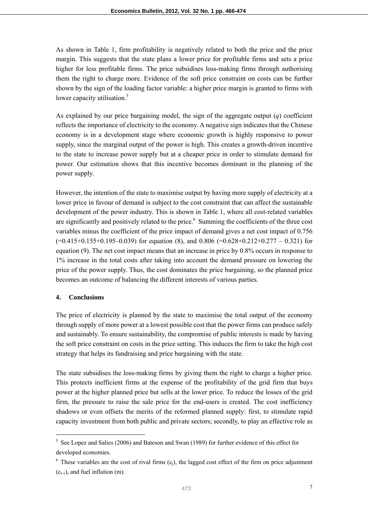As shown in Table 1, firm profitability is negatively related to both the price and the price margin. This suggests that the state plans a lower price for profitable firms and sets a price higher for less profitable firms. The price subsidises loss-making firms through authorising them the right to charge more. Evidence of the soft price constraint on costs can be further shown by the sign of the loading factor variable: a higher price margin is granted to firms with lower capacity utilisation.<sup>5</sup>

As explained by our price bargaining model, the sign of the aggregate output (*q*) coefficient reflects the importance of electricity to the economy. A negative sign indicates that the Chinese economy is in a development stage where economic growth is highly responsive to power supply, since the marginal output of the power is high. This creates a growth-driven incentive to the state to increase power supply but at a cheaper price in order to stimulate demand for power. Our estimation shows that this incentive becomes dominant in the planning of the power supply.

However, the intention of the state to maximise output by having more supply of electricity at a lower price in favour of demand is subject to the cost constraint that can affect the sustainable development of the power industry. This is shown in Table 1, where all cost-related variables are significantly and positively related to the price.<sup>6</sup> Summing the coefficients of the three cost variables minus the coefficient of the price impact of demand gives a net cost impact of 0.756  $(=0.415+0.155+0.195-0.039)$  for equation (8), and 0.806  $(=0.628+0.212+0.277-0.321)$  for equation (9). The net cost impact means that an increase in price by 0.8% occurs in response to 1% increase in the total costs after taking into account the demand pressure on lowering the price of the power supply. Thus, the cost dominates the price bargaining, so the planned price becomes an outcome of balancing the different interests of various parties.

#### **4. Conclusions**

 $\overline{a}$ 

The price of electricity is planned by the state to maximise the total output of the economy through supply of more power at a lowest possible cost that the power firms can produce safely and sustainably. To ensure sustainability, the compromise of public interests is made by having the soft price constraint on costs in the price setting. This induces the firm to take the high cost strategy that helps its fundraising and price bargaining with the state.

The state subsidises the loss-making firms by giving them the right to charge a higher price. This protects inefficient firms at the expense of the profitability of the grid firm that buys power at the higher planned price but sells at the lower price. To reduce the losses of the grid firm, the pressure to raise the sale price for the end-users is created. The cost inefficiency shadows or even offsets the merits of the reformed planned supply: first, to stimulate rapid capacity investment from both public and private sectors; secondly, to play an effective role as

<sup>&</sup>lt;sup>5</sup> See Lopez and Salies (2006) and Bateson and Swan (1989) for further evidence of this effect for developed economies.

 $6$  These variables are the cost of rival firms (c<sub>j</sub>), the lagged cost effect of the firm on price adjustment  $(c_{t-1})$ , and fuel inflation (m).